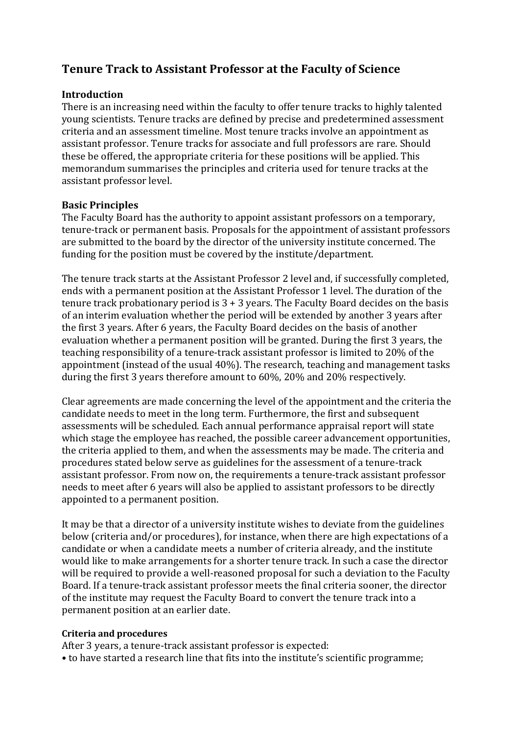## **Tenure Track to Assistant Professor at the Faculty of Science**

#### **Introduction**

There is an increasing need within the faculty to offer tenure tracks to highly talented young scientists. Tenure tracks are defined by precise and predetermined assessment criteria and an assessment timeline. Most tenure tracks involve an appointment as assistant professor. Tenure tracks for associate and full professors are rare. Should these be offered, the appropriate criteria for these positions will be applied. This memorandum summarises the principles and criteria used for tenure tracks at the assistant professor level.

#### **Basic Principles**

The Faculty Board has the authority to appoint assistant professors on a temporary, tenure-track or permanent basis. Proposals for the appointment of assistant professors are submitted to the board by the director of the university institute concerned. The funding for the position must be covered by the institute/department.

The tenure track starts at the Assistant Professor 2 level and, if successfully completed, ends with a permanent position at the Assistant Professor 1 level. The duration of the tenure track probationary period is  $3 + 3$  years. The Faculty Board decides on the basis of an interim evaluation whether the period will be extended by another 3 years after the first 3 years. After 6 years, the Faculty Board decides on the basis of another evaluation whether a permanent position will be granted. During the first 3 years, the teaching responsibility of a tenure-track assistant professor is limited to 20% of the appointment (instead of the usual 40%). The research, teaching and management tasks during the first 3 years therefore amount to 60%, 20% and 20% respectively.

Clear agreements are made concerning the level of the appointment and the criteria the candidate needs to meet in the long term. Furthermore, the first and subsequent assessments will be scheduled. Each annual performance appraisal report will state which stage the employee has reached, the possible career advancement opportunities, the criteria applied to them, and when the assessments may be made. The criteria and procedures stated below serve as guidelines for the assessment of a tenure-track assistant professor. From now on, the requirements a tenure-track assistant professor needs to meet after 6 years will also be applied to assistant professors to be directly appointed to a permanent position.

It may be that a director of a university institute wishes to deviate from the guidelines below (criteria and/or procedures), for instance, when there are high expectations of a candidate or when a candidate meets a number of criteria already, and the institute would like to make arrangements for a shorter tenure track. In such a case the director will be required to provide a well-reasoned proposal for such a deviation to the Faculty Board. If a tenure-track assistant professor meets the final criteria sooner, the director of the institute may request the Faculty Board to convert the tenure track into a permanent position at an earlier date.

#### **Criteria and procedures**

After 3 years, a tenure-track assistant professor is expected:

• to have started a research line that fits into the institute's scientific programme;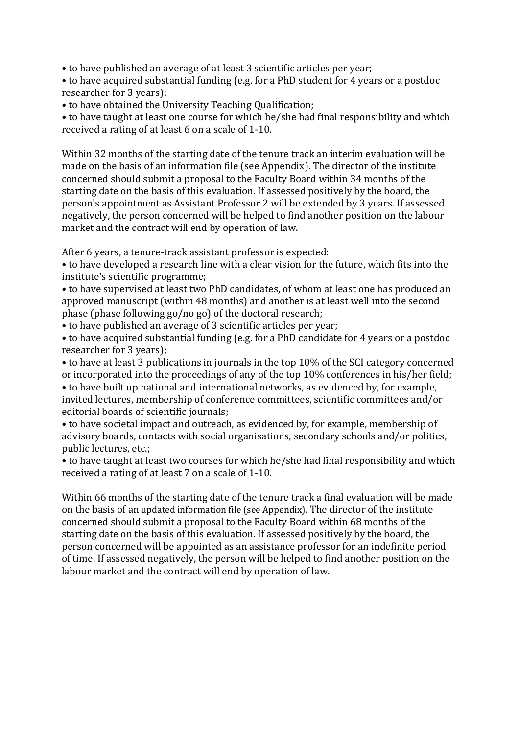• to have published an average of at least 3 scientific articles per year;

• to have acquired substantial funding (e.g. for a PhD student for 4 years or a postdoc researcher for 3 years);

• to have obtained the University Teaching Qualification;

• to have taught at least one course for which he/she had final responsibility and which received a rating of at least 6 on a scale of 1-10.

Within 32 months of the starting date of the tenure track an interim evaluation will be made on the basis of an information file (see Appendix). The director of the institute concerned should submit a proposal to the Faculty Board within 34 months of the starting date on the basis of this evaluation. If assessed positively by the board, the person's appointment as Assistant Professor 2 will be extended by 3 years. If assessed negatively, the person concerned will be helped to find another position on the labour market and the contract will end by operation of law.

After 6 years, a tenure-track assistant professor is expected:

• to have developed a research line with a clear vision for the future, which fits into the institute's scientific programme;

• to have supervised at least two PhD candidates, of whom at least one has produced an approved manuscript (within 48 months) and another is at least well into the second phase (phase following go/no go) of the doctoral research;

• to have published an average of 3 scientific articles per year;

• to have acquired substantial funding (e.g. for a PhD candidate for 4 years or a postdoc researcher for 3 years);

• to have at least 3 publications in journals in the top 10% of the SCI category concerned or incorporated into the proceedings of any of the top 10% conferences in his/her field; • to have built up national and international networks, as evidenced by, for example, invited lectures, membership of conference committees, scientific committees and/or editorial boards of scientific journals;

• to have societal impact and outreach, as evidenced by, for example, membership of advisory boards, contacts with social organisations, secondary schools and/or politics, public lectures, etc.;

• to have taught at least two courses for which he/she had final responsibility and which received a rating of at least 7 on a scale of 1-10.

Within 66 months of the starting date of the tenure track a final evaluation will be made on the basis of an updated information file (see Appendix). The director of the institute concerned should submit a proposal to the Faculty Board within 68 months of the starting date on the basis of this evaluation. If assessed positively by the board, the person concerned will be appointed as an assistance professor for an indefinite period of time. If assessed negatively, the person will be helped to find another position on the labour market and the contract will end by operation of law.